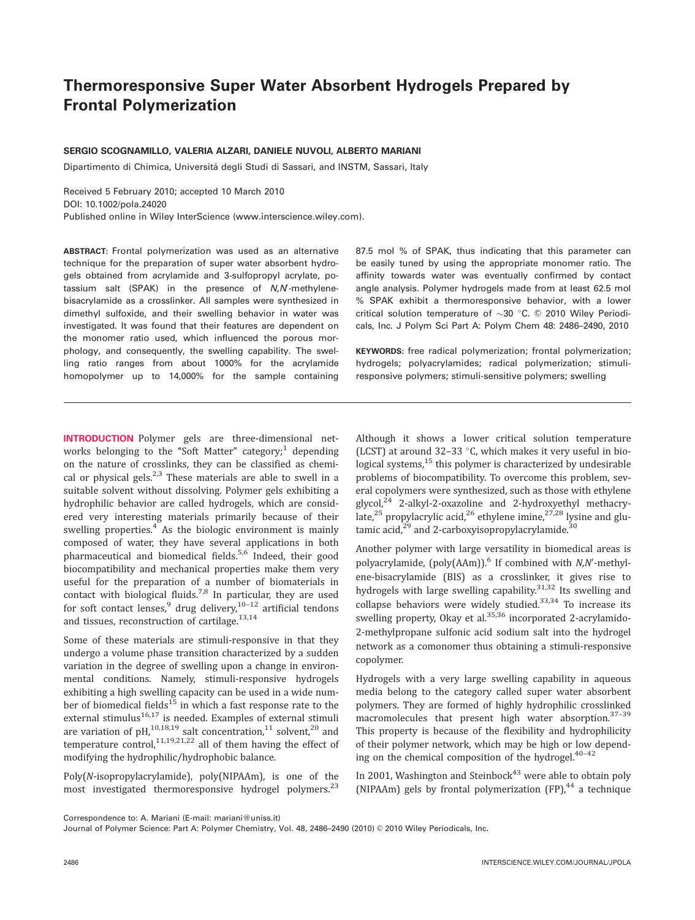# Thermoresponsive Super Water Absorbent Hydrogels Prepared by Frontal Polymerization

# SERGIO SCOGNAMILLO, VALERIA ALZARI, DANIELE NUVOLI, ALBERTO MARIANI

Dipartimento di Chimica, Universitá degli Studi di Sassari, and INSTM, Sassari, Italy

Received 5 February 2010; accepted 10 March 2010 DOI: 10.1002/pola.24020 Published online in Wiley InterScience (www.interscience.wiley.com).

ABSTRACT: Frontal polymerization was used as an alternative technique for the preparation of super water absorbent hydrogels obtained from acrylamide and 3-sulfopropyl acrylate, potassium salt (SPAK) in the presence of  $N$ , $N$ -methylenebisacrylamide as a crosslinker. All samples were synthesized in dimethyl sulfoxide, and their swelling behavior in water was investigated. It was found that their features are dependent on the monomer ratio used, which influenced the porous morphology, and consequently, the swelling capability. The swelling ratio ranges from about 1000% for the acrylamide homopolymer up to 14,000% for the sample containing

87.5 mol % of SPAK, thus indicating that this parameter can be easily tuned by using the appropriate monomer ratio. The affinity towards water was eventually confirmed by contact angle analysis. Polymer hydrogels made from at least 62.5 mol % SPAK exhibit a thermoresponsive behavior, with a lower critical solution temperature of  $\sim$ 30 °C. © 2010 Wiley Periodicals, Inc. J Polym Sci Part A: Polym Chem 48: 2486–2490, 2010

KEYWORDS: free radical polymerization; frontal polymerization; hydrogels; polyacrylamides; radical polymerization; stimuliresponsive polymers; stimuli-sensitive polymers; swelling

INTRODUCTION Polymer gels are three-dimensional networks belonging to the "Soft Matter" category;<sup>1</sup> depending on the nature of crosslinks, they can be classified as chemical or physical gels.<sup>2,3</sup> These materials are able to swell in a suitable solvent without dissolving. Polymer gels exhibiting a hydrophilic behavior are called hydrogels, which are considered very interesting materials primarily because of their swelling properties.<sup>4</sup> As the biologic environment is mainly composed of water, they have several applications in both pharmaceutical and biomedical fields.<sup>5,6</sup> Indeed, their good biocompatibility and mechanical properties make them very useful for the preparation of a number of biomaterials in contact with biological fluids.<sup>7,8</sup> In particular, they are used for soft contact lenses,  $9$  drug delivery,  $10-12$  artificial tendons and tissues, reconstruction of cartilage. $13,14$ 

Some of these materials are stimuli-responsive in that they undergo a volume phase transition characterized by a sudden variation in the degree of swelling upon a change in environmental conditions. Namely, stimuli-responsive hydrogels exhibiting a high swelling capacity can be used in a wide number of biomedical fields<sup>15</sup> in which a fast response rate to the external stimulus $16,17$  is needed. Examples of external stimuli are variation of pH, $^{10,18,19}$  salt concentration, $^{11}$  solvent, $^{20}$  and temperature control,  $11,19,21,22$  all of them having the effect of modifying the hydrophilic/hydrophobic balance.

Poly(N-isopropylacrylamide), poly(NIPAAm), is one of the most investigated thermoresponsive hydrogel polymers.<sup>23</sup>

Although it shows a lower critical solution temperature (LCST) at around 32-33  $\degree$ C, which makes it very useful in biological systems,  $15$  this polymer is characterized by undesirable problems of biocompatibility. To overcome this problem, several copolymers were synthesized, such as those with ethylene glycol,<sup>24</sup> 2-alkyl-2-oxazoline and 2-hydroxyethyl methacrylate,<sup>25</sup> propylacrylic acid,<sup>26</sup> ethylene imine,<sup>27,28</sup> lysine and glutamic acid, $2^9$  and 2-carboxyisopropylacrylamide.<sup>30</sup>

Another polymer with large versatility in biomedical areas is polyacrylamide, (poly(AAm)). $^6$  If combined with *N,N'*-methylene-bisacrylamide (BIS) as a crosslinker, it gives rise to hydrogels with large swelling capability.<sup>31,32</sup> Its swelling and collapse behaviors were widely studied. $33,34$  To increase its swelling property, Okay et al. $35,36$  incorporated 2-acrylamido-2-methylpropane sulfonic acid sodium salt into the hydrogel network as a comonomer thus obtaining a stimuli-responsive copolymer.

Hydrogels with a very large swelling capability in aqueous media belong to the category called super water absorbent polymers. They are formed of highly hydrophilic crosslinked macromolecules that present high water absorption.<sup>37-39</sup> This property is because of the flexibility and hydrophilicity of their polymer network, which may be high or low depending on the chemical composition of the hydrogel. $40-42$ 

In 2001, Washington and Steinbock<sup>43</sup> were able to obtain poly (NIPAAm) gels by frontal polymerization  $(FP)$ ,  $44$  a technique

Correspondence to: A. Mariani (E-mail: mariani@uniss.it)

Journal of Polymer Science: Part A: Polymer Chemistry, Vol. 48, 2486-2490 (2010) © 2010 Wiley Periodicals, Inc.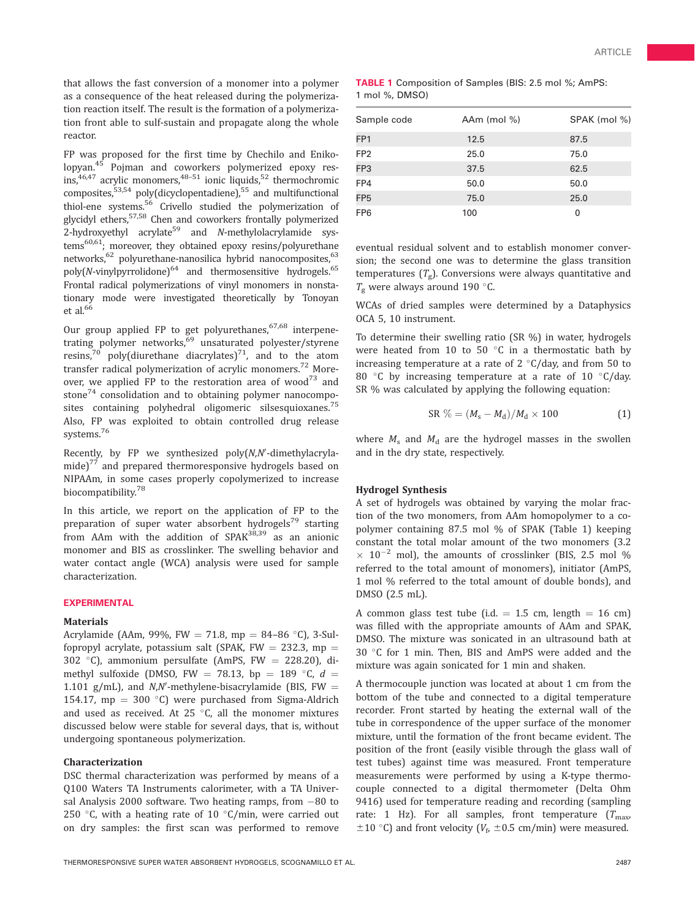that allows the fast conversion of a monomer into a polymer as a consequence of the heat released during the polymerization reaction itself. The result is the formation of a polymerization front able to sulf-sustain and propagate along the whole reactor.

FP was proposed for the first time by Chechilo and Enikolopyan.<sup>45</sup> Pojman and coworkers polymerized epoxy resins, $46,47$  acrylic monomers, $48-51$  ionic liquids, $52$  thermochromic composites,<sup>53,54</sup> poly(dicyclopentadiene),<sup>55</sup> and multifunctional thiol-ene systems.56 Crivello studied the polymerization of glycidyl ethers,<sup>57,58</sup> Chen and coworkers frontally polymerized  $2$ -hydroxyethyl acrylate<sup>59</sup> and *N*-methylolacrylamide systems<sup>60,61</sup>; moreover, they obtained epoxy resins/polyurethane networks,<sup>62</sup> polyurethane-nanosilica hybrid nanocomposites,<sup>63</sup>  $poly(N-vinylpyrrolidone)<sup>64</sup>$  and thermosensitive hydrogels.<sup>65</sup> Frontal radical polymerizations of vinyl monomers in nonstationary mode were investigated theoretically by Tonoyan et al. $66$ 

Our group applied FP to get polyurethanes,  $67,68$  interpenetrating polymer networks,<sup>69</sup> unsaturated polyester/styrene resins,<sup>70</sup> poly(diurethane diacrylates)<sup>71</sup>, and to the atom transfer radical polymerization of acrylic monomers.<sup>72</sup> Moreover, we applied FP to the restoration area of wood $73$  and stone<sup>74</sup> consolidation and to obtaining polymer nanocomposites containing polyhedral oligomeric silsesquioxanes.<sup>75</sup> Also, FP was exploited to obtain controlled drug release systems.76

Recently, by FP we synthesized  $poly(N, N'-dimethylacryla-))$ mide) $^{77}$  and prepared thermoresponsive hydrogels based on NIPAAm, in some cases properly copolymerized to increase biocompatibility.<sup>78</sup>

In this article, we report on the application of FP to the preparation of super water absorbent hydrogels<sup>79</sup> starting from AAm with the addition of  $SPAK^{38,39}$  as an anionic monomer and BIS as crosslinker. The swelling behavior and water contact angle (WCA) analysis were used for sample characterization.

## EXPERIMENTAL

#### Materials

Acrylamide (AAm, 99%, FW = 71.8, mp = 84–86 °C), 3-Sulfopropyl acrylate, potassium salt (SPAK, FW  $=$  232.3, mp  $=$ 302 °C), ammonium persulfate (AmPS,  $FW = 228.20$ ), dimethyl sulfoxide (DMSO, FW = 78.13, bp = 189  $\degree$ C,  $d$  = 1.101 g/mL), and  $N$ , $N'$ -methylene-bisacrylamide (BIS, FW = 154.17, mp =  $300 °C$ ) were purchased from Sigma-Aldrich and used as received. At 25  $^{\circ}$ C, all the monomer mixtures discussed below were stable for several days, that is, without undergoing spontaneous polymerization.

#### Characterization

DSC thermal characterization was performed by means of a Q100 Waters TA Instruments calorimeter, with a TA Universal Analysis 2000 software. Two heating ramps, from  $-80$  to 250 °C, with a heating rate of 10 °C/min, were carried out on dry samples: the first scan was performed to remove

|                | <b>TABLE 1</b> Composition of Samples (BIS: 2.5 mol %; AmPS: |  |  |  |  |
|----------------|--------------------------------------------------------------|--|--|--|--|
| 1 mol %, DMSO) |                                                              |  |  |  |  |

| Sample code     | AAm (mol %) | SPAK (mol %) |
|-----------------|-------------|--------------|
| FP <sub>1</sub> | 12.5        | 87.5         |
| FP <sub>2</sub> | 25.0        | 75.0         |
| FP3             | 37.5        | 62.5         |
| FP4             | 50.0        | 50.0         |
| FP <sub>5</sub> | 75.0        | 25.0         |
| FP <sub>6</sub> | 100         | 0            |

eventual residual solvent and to establish monomer conversion; the second one was to determine the glass transition temperatures  $(T_{\varphi})$ . Conversions were always quantitative and  $T_{\rm g}$  were always around 190 °C.

WCAs of dried samples were determined by a Dataphysics OCA 5, 10 instrument.

To determine their swelling ratio (SR %) in water, hydrogels were heated from 10 to 50  $^{\circ}$ C in a thermostatic bath by increasing temperature at a rate of 2  $\degree$ C/day, and from 50 to 80  $\degree$ C by increasing temperature at a rate of 10  $\degree$ C/day. SR % was calculated by applying the following equation:

$$
SR\% = (M_s - M_d)/M_d \times 100\tag{1}
$$

where  $M_s$  and  $M_d$  are the hydrogel masses in the swollen and in the dry state, respectively.

### Hydrogel Synthesis

A set of hydrogels was obtained by varying the molar fraction of the two monomers, from AAm homopolymer to a copolymer containing 87.5 mol % of SPAK (Table 1) keeping constant the total molar amount of the two monomers (3.2  $\times$  10<sup>-2</sup> mol), the amounts of crosslinker (BIS, 2.5 mol %) referred to the total amount of monomers), initiator (AmPS, 1 mol % referred to the total amount of double bonds), and DMSO (2.5 mL).

A common glass test tube (i.d.  $= 1.5$  cm, length  $= 16$  cm) was filled with the appropriate amounts of AAm and SPAK, DMSO. The mixture was sonicated in an ultrasound bath at 30 °C for 1 min. Then, BIS and AmPS were added and the mixture was again sonicated for 1 min and shaken.

A thermocouple junction was located at about 1 cm from the bottom of the tube and connected to a digital temperature recorder. Front started by heating the external wall of the tube in correspondence of the upper surface of the monomer mixture, until the formation of the front became evident. The position of the front (easily visible through the glass wall of test tubes) against time was measured. Front temperature measurements were performed by using a K-type thermocouple connected to a digital thermometer (Delta Ohm 9416) used for temperature reading and recording (sampling rate: 1 Hz). For all samples, front temperature  $(T_{\text{max}})$  $\pm 10$  °C) and front velocity ( $V_f$ ,  $\pm 0.5$  cm/min) were measured.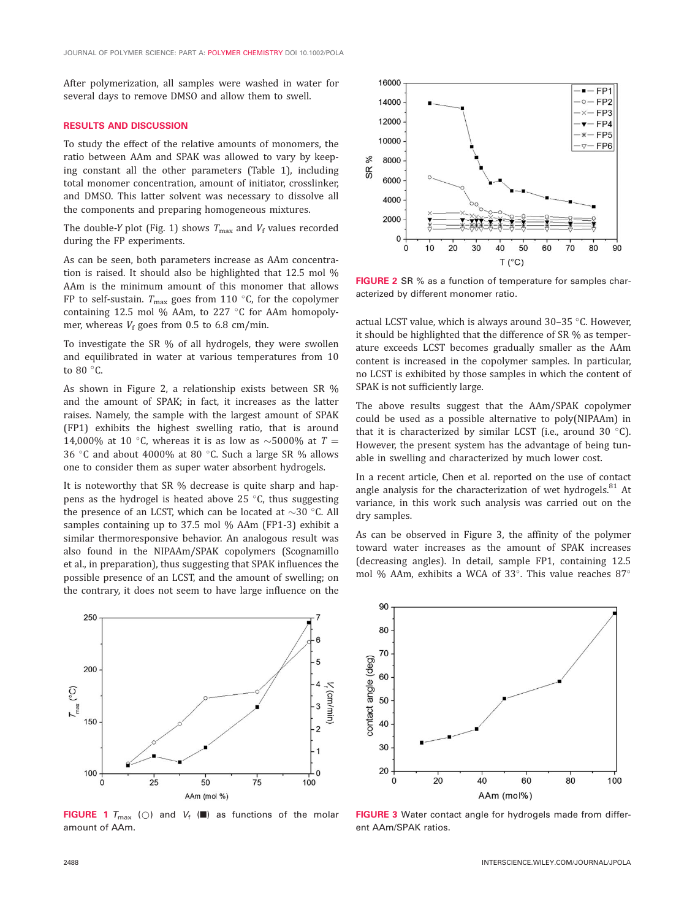After polymerization, all samples were washed in water for several days to remove DMSO and allow them to swell.

#### RESULTS AND DISCUSSION

To study the effect of the relative amounts of monomers, the ratio between AAm and SPAK was allowed to vary by keeping constant all the other parameters (Table 1), including total monomer concentration, amount of initiator, crosslinker, and DMSO. This latter solvent was necessary to dissolve all the components and preparing homogeneous mixtures.

The double-Y plot (Fig. 1) shows  $T_{\text{max}}$  and  $V_f$  values recorded during the FP experiments.

As can be seen, both parameters increase as AAm concentration is raised. It should also be highlighted that 12.5 mol % AAm is the minimum amount of this monomer that allows FP to self-sustain.  $T_{\text{max}}$  goes from 110 °C, for the copolymer containing 12.5 mol % AAm, to 227  $\degree$ C for AAm homopolymer, whereas  $V_f$  goes from 0.5 to 6.8 cm/min.

To investigate the SR % of all hydrogels, they were swollen and equilibrated in water at various temperatures from 10 to 80  $^{\circ}$ C.

As shown in Figure 2, a relationship exists between SR % and the amount of SPAK; in fact, it increases as the latter raises. Namely, the sample with the largest amount of SPAK (FP1) exhibits the highest swelling ratio, that is around 14,000% at 10 °C, whereas it is as low as  $\sim$ 5000% at  $T =$ 36 °C and about 4000% at 80 °C. Such a large SR % allows one to consider them as super water absorbent hydrogels.

It is noteworthy that SR % decrease is quite sharp and happens as the hydrogel is heated above 25  $^{\circ}$ C, thus suggesting the presence of an LCST, which can be located at  $\sim$ 30 °C. All samples containing up to 37.5 mol % AAm (FP1-3) exhibit a similar thermoresponsive behavior. An analogous result was also found in the NIPAAm/SPAK copolymers (Scognamillo et al., in preparation), thus suggesting that SPAK influences the possible presence of an LCST, and the amount of swelling; on the contrary, it does not seem to have large influence on the



FIGURE 2 SR % as a function of temperature for samples characterized by different monomer ratio.

actual LCST value, which is always around  $30-35$  °C. However, it should be highlighted that the difference of SR % as temperature exceeds LCST becomes gradually smaller as the AAm content is increased in the copolymer samples. In particular, no LCST is exhibited by those samples in which the content of SPAK is not sufficiently large.

The above results suggest that the AAm/SPAK copolymer could be used as a possible alternative to poly(NIPAAm) in that it is characterized by similar LCST (i.e., around 30  $^{\circ}$ C). However, the present system has the advantage of being tunable in swelling and characterized by much lower cost.

In a recent article, Chen et al. reported on the use of contact angle analysis for the characterization of wet hydrogels.<sup>81</sup> At variance, in this work such analysis was carried out on the dry samples.

As can be observed in Figure 3, the affinity of the polymer toward water increases as the amount of SPAK increases (decreasing angles). In detail, sample FP1, containing 12.5 mol % AAm, exhibits a WCA of 33 $^{\circ}$ . This value reaches 87 $^{\circ}$ 



FIGURE 1  $T_{\text{max}}$  (0) and  $V_f$  ( $\blacksquare$ ) as functions of the molar amount of AAm.



FIGURE 3 Water contact angle for hydrogels made from different AAm/SPAK ratios.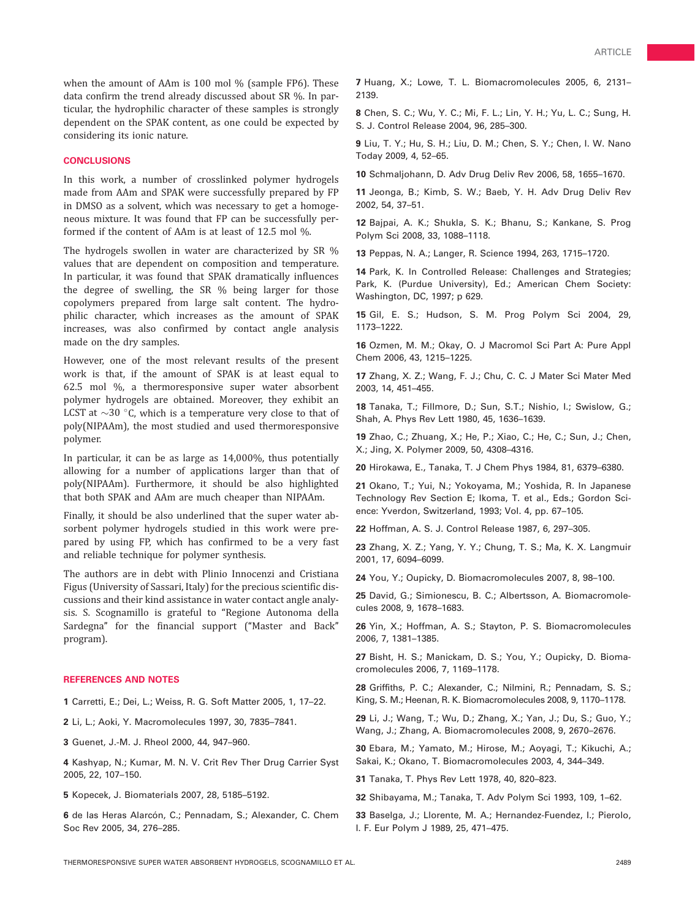when the amount of AAm is 100 mol % (sample FP6). These data confirm the trend already discussed about SR %. In particular, the hydrophilic character of these samples is strongly dependent on the SPAK content, as one could be expected by considering its ionic nature.

## **CONCLUSIONS**

In this work, a number of crosslinked polymer hydrogels made from AAm and SPAK were successfully prepared by FP in DMSO as a solvent, which was necessary to get a homogeneous mixture. It was found that FP can be successfully performed if the content of AAm is at least of 12.5 mol %.

The hydrogels swollen in water are characterized by SR % values that are dependent on composition and temperature. In particular, it was found that SPAK dramatically influences the degree of swelling, the SR % being larger for those copolymers prepared from large salt content. The hydrophilic character, which increases as the amount of SPAK increases, was also confirmed by contact angle analysis made on the dry samples.

However, one of the most relevant results of the present work is that, if the amount of SPAK is at least equal to 62.5 mol %, a thermoresponsive super water absorbent polymer hydrogels are obtained. Moreover, they exhibit an LCST at  $\sim$ 30 °C, which is a temperature very close to that of poly(NIPAAm), the most studied and used thermoresponsive polymer.

In particular, it can be as large as 14,000%, thus potentially allowing for a number of applications larger than that of poly(NIPAAm). Furthermore, it should be also highlighted that both SPAK and AAm are much cheaper than NIPAAm.

Finally, it should be also underlined that the super water absorbent polymer hydrogels studied in this work were prepared by using FP, which has confirmed to be a very fast and reliable technique for polymer synthesis.

The authors are in debt with Plinio Innocenzi and Cristiana Figus (University of Sassari, Italy) for the precious scientific discussions and their kind assistance in water contact angle analysis. S. Scognamillo is grateful to ''Regione Autonoma della Sardegna'' for the financial support (''Master and Back'' program).

#### REFERENCES AND NOTES

1 Carretti, E.; Dei, L.; Weiss, R. G. Soft Matter 2005, 1, 17–22.

2 Li, L.; Aoki, Y. Macromolecules 1997, 30, 7835–7841.

3 Guenet, J.-M. J. Rheol 2000, 44, 947–960.

4 Kashyap, N.; Kumar, M. N. V. Crit Rev Ther Drug Carrier Syst 2005, 22, 107–150.

5 Kopecek, J. Biomaterials 2007, 28, 5185–5192.

6 de las Heras Alarcón, C.; Pennadam, S.; Alexander, C. Chem Soc Rev 2005, 34, 276–285.

7 Huang, X.; Lowe, T. L. Biomacromolecules 2005, 6, 2131– 2139.

8 Chen, S. C.; Wu, Y. C.; Mi, F. L.; Lin, Y. H.; Yu, L. C.; Sung, H. S. J. Control Release 2004, 96, 285–300.

9 Liu, T. Y.; Hu, S. H.; Liu, D. M.; Chen, S. Y.; Chen, I. W. Nano Today 2009, 4, 52–65.

10 Schmaljohann, D. Adv Drug Deliv Rev 2006, 58, 1655–1670.

11 Jeonga, B.; Kimb, S. W.; Baeb, Y. H. Adv Drug Deliv Rev 2002, 54, 37–51.

12 Bajpai, A. K.; Shukla, S. K.; Bhanu, S.; Kankane, S. Prog Polym Sci 2008, 33, 1088–1118.

13 Peppas, N. A.; Langer, R. Science 1994, 263, 1715–1720.

14 Park, K. In Controlled Release: Challenges and Strategies; Park, K. (Purdue University), Ed.; American Chem Society: Washington, DC, 1997; p 629.

15 Gil, E. S.; Hudson, S. M. Prog Polym Sci 2004, 29, 1173–1222.

16 Ozmen, M. M.; Okay, O. J Macromol Sci Part A: Pure Appl Chem 2006, 43, 1215–1225.

17 Zhang, X. Z.; Wang, F. J.; Chu, C. C. J Mater Sci Mater Med 2003, 14, 451–455.

18 Tanaka, T.; Fillmore, D.; Sun, S.T.; Nishio, I.; Swislow, G.; Shah, A. Phys Rev Lett 1980, 45, 1636–1639.

19 Zhao, C.; Zhuang, X.; He, P.; Xiao, C.; He, C.; Sun, J.; Chen, X.; Jing, X. Polymer 2009, 50, 4308–4316.

20 Hirokawa, E., Tanaka, T. J Chem Phys 1984, 81, 6379–6380.

21 Okano, T.; Yui, N.; Yokoyama, M.; Yoshida, R. In Japanese Technology Rev Section E; Ikoma, T. et al., Eds.; Gordon Science: Yverdon, Switzerland, 1993; Vol. 4, pp. 67–105.

22 Hoffman, A. S. J. Control Release 1987, 6, 297–305.

23 Zhang, X. Z.; Yang, Y. Y.; Chung, T. S.; Ma, K. X. Langmuir 2001, 17, 6094–6099.

24 You, Y.; Oupicky, D. Biomacromolecules 2007, 8, 98–100.

25 David, G.; Simionescu, B. C.; Albertsson, A. Biomacromolecules 2008, 9, 1678–1683.

26 Yin, X.; Hoffman, A. S.; Stayton, P. S. Biomacromolecules 2006, 7, 1381–1385.

27 Bisht, H. S.; Manickam, D. S.; You, Y.; Oupicky, D. Biomacromolecules 2006, 7, 1169–1178.

28 Griffiths, P. C.; Alexander, C.; Nilmini, R.; Pennadam, S. S.; King, S. M.; Heenan, R. K. Biomacromolecules 2008, 9, 1170–1178.

29 Li, J.; Wang, T.; Wu, D.; Zhang, X.; Yan, J.; Du, S.; Guo, Y.; Wang, J.; Zhang, A. Biomacromolecules 2008, 9, 2670–2676.

30 Ebara, M.; Yamato, M.; Hirose, M.; Aoyagi, T.; Kikuchi, A.; Sakai, K.; Okano, T. Biomacromolecules 2003, 4, 344–349.

31 Tanaka, T. Phys Rev Lett 1978, 40, 820–823.

32 Shibayama, M.; Tanaka, T. Adv Polym Sci 1993, 109, 1–62.

33 Baselga, J.; Llorente, M. A.; Hernandez-Fuendez, I.; Pierolo, I. F. Eur Polym J 1989, 25, 471–475.